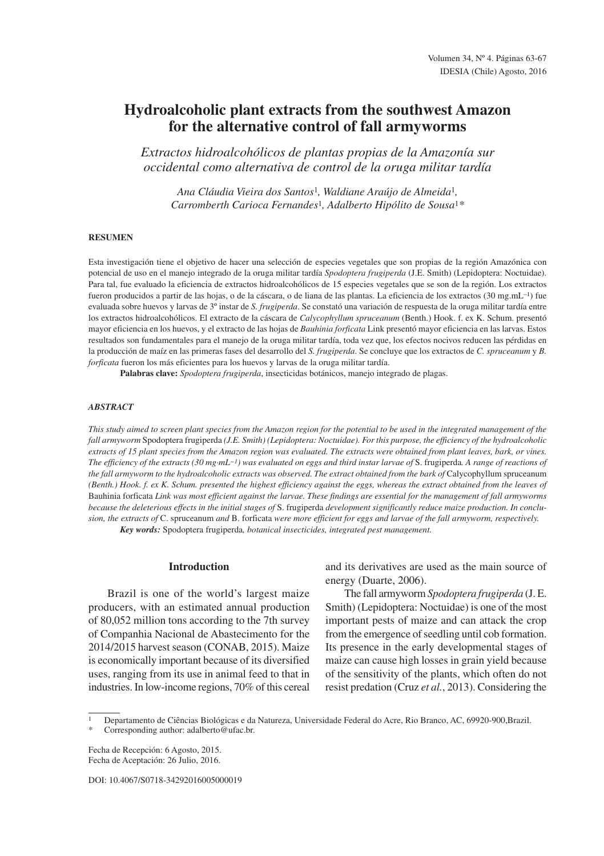# **Hydroalcoholic plant extracts from the southwest Amazon for the alternative control of fall armyworms**

*Extractos hidroalcohólicos de plantas propias de la Amazonía sur occidental como alternativa de control de la oruga militar tardía*

*Ana Cláudia Vieira dos Santos*<sup>1</sup>*, Waldiane Araújo de Almeida*<sup>1</sup>*, Carromberth Carioca Fernandes*<sup>1</sup>*, Adalberto Hipólito de Sousa*<sup>1</sup>*\**

# **RESUMEN**

Esta investigación tiene el objetivo de hacer una selección de especies vegetales que son propias de la región Amazónica con potencial de uso en el manejo integrado de la oruga militar tardía *Spodoptera frugiperda* (J.E. Smith) (Lepidoptera: Noctuidae). Para tal, fue evaluado la eficiencia de extractos hidroalcohólicos de 15 especies vegetales que se son de la región. Los extractos fueron producidos a partir de las hojas, o de la cáscara, o de liana de las plantas. La eficiencia de los extractos (30 mg.mL<sup>-1</sup>) fue evaluada sobre huevos y larvas de 3º instar de *S. frugiperda*. Se constató una variación de respuesta de la oruga militar tardía entre los extractos hidroalcohólicos. El extracto de la cáscara de *Calycophyllum spruceanum* (Benth.) Hook. f. ex K. Schum. presentó mayor eficiencia en los huevos, y el extracto de las hojas de *Bauhinia forficata* Link presentó mayor eficiencia en las larvas. Estos resultados son fundamentales para el manejo de la oruga militar tardía, toda vez que, los efectos nocivos reducen las pérdidas en la producción de maíz en las primeras fases del desarrollo del *S. frugiperda*. Se concluye que los extractos de *C. spruceanum* y *B. forficata* fueron los más eficientes para los huevos y larvas de la oruga militar tardía.

**Palabras clave:** *Spodoptera frugiperda*, insecticidas botánicos, manejo integrado de plagas.

## *ABSTRACT*

This study aimed to screen plant species from the Amazon region for the potential to be used in the integrated management of the *fall armyworm* Spodoptera frugiperda *(J.E. Smith) (Lepidoptera: Noctuidae). For this purpose, the efficiency of the hydroalcoholic extracts of 15 plant species from the Amazon region was evaluated. The extracts were obtained from plant leaves, bark, or vines. The efficiency of the extracts (30 mg·mL−1) was evaluated on eggs and third instar larvae of* S. frugiperda*. A range of reactions of*  the fall armyworm to the hydroalcoholic extracts was observed. The extract obtained from the bark of Calycophyllum spruceanum *(Benth.) Hook. f. ex K. Schum. presented the highest efficiency against the eggs, whereas the extract obtained from the leaves of*  Bauhinia forficata *Link was most efficient against the larvae. These findings are essential for the management of fall armyworms because the deleterious effects in the initial stages of* S. frugiperda *development significantly reduce maize production. In conclusion, the extracts of* C. spruceanum *and* B. forficata *were more efficient for eggs and larvae of the fall armyworm, respectively.*

*Key words:* Spodoptera frugiperda*, botanical insecticides, integrated pest management.*

#### **Introduction**

Brazil is one of the world's largest maize producers, with an estimated annual production of 80,052 million tons according to the 7th survey of Companhia Nacional de Abastecimento for the 2014/2015 harvest season (CONAB, 2015). Maize is economically important because of its diversified uses, ranging from its use in animal feed to that in industries. In low-income regions, 70% of this cereal and its derivatives are used as the main source of energy (Duarte, 2006).

The fall armyworm *Spodoptera frugiperda* (J. E. Smith) (Lepidoptera: Noctuidae) is one of the most important pests of maize and can attack the crop from the emergence of seedling until cob formation. Its presence in the early developmental stages of maize can cause high losses in grain yield because of the sensitivity of the plants, which often do not resist predation (Cruz *et al.*, 2013). Considering the

DOI: 10.4067/S0718-34292016005000019

<sup>1</sup> Departamento de Ciências Biológicas e da Natureza, Universidade Federal do Acre, Rio Branco, AC, 69920-900,Brazil. Corresponding author: adalberto@ufac.br.

Fecha de Recepción: 6 Agosto, 2015. Fecha de Aceptación: 26 Julio, 2016.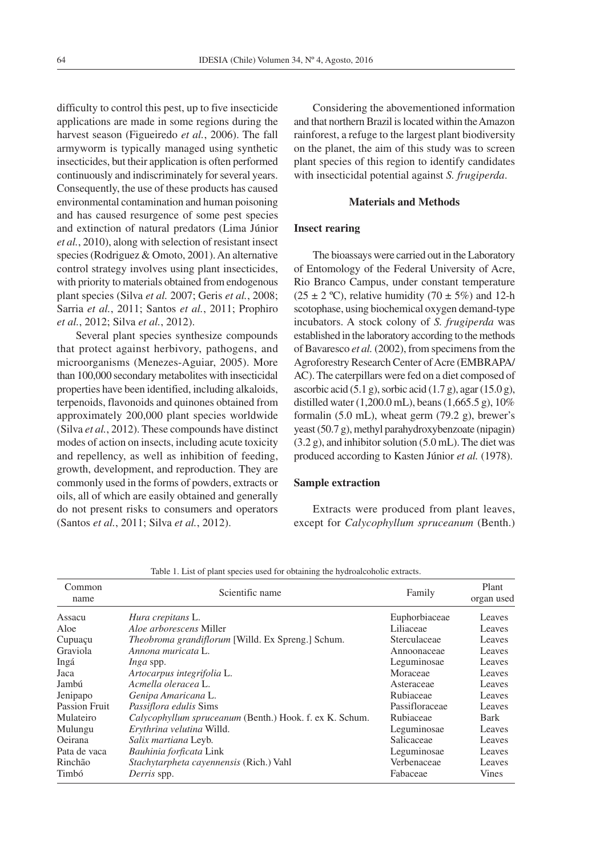difficulty to control this pest, up to five insecticide applications are made in some regions during the harvest season (Figueiredo *et al.*, 2006). The fall armyworm is typically managed using synthetic insecticides, but their application is often performed continuously and indiscriminately for several years. Consequently, the use of these products has caused environmental contamination and human poisoning and has caused resurgence of some pest species and extinction of natural predators (Lima Júnior *et al.*, 2010), along with selection of resistant insect species (Rodriguez & Omoto, 2001). An alternative control strategy involves using plant insecticides, with priority to materials obtained from endogenous plant species (Silva *et al.* 2007; Geris *et al.*, 2008; Sarria *et al.*, 2011; Santos *et al.*, 2011; Prophiro *et al.*, 2012; Silva *et al.*, 2012).

Several plant species synthesize compounds that protect against herbivory, pathogens, and microorganisms (Menezes-Aguiar, 2005). More than 100,000 secondary metabolites with insecticidal properties have been identified, including alkaloids, terpenoids, flavonoids and quinones obtained from approximately 200,000 plant species worldwide (Silva *et al.*, 2012). These compounds have distinct modes of action on insects, including acute toxicity and repellency, as well as inhibition of feeding, growth, development, and reproduction. They are commonly used in the forms of powders, extracts or oils, all of which are easily obtained and generally do not present risks to consumers and operators (Santos *et al.*, 2011; Silva *et al.*, 2012).

Considering the abovementioned information and that northern Brazil is located within the Amazon rainforest, a refuge to the largest plant biodiversity on the planet, the aim of this study was to screen plant species of this region to identify candidates with insecticidal potential against *S. frugiperda*.

# **Materials and Methods**

#### **Insect rearing**

The bioassays were carried out in the Laboratory of Entomology of the Federal University of Acre, Rio Branco Campus, under constant temperature  $(25 \pm 2 \degree C)$ , relative humidity  $(70 \pm 5\%)$  and 12-h scotophase, using biochemical oxygen demand-type incubators. A stock colony of *S. frugiperda* was established in the laboratory according to the methods of Bavaresco *et al.* (2002), from specimens from the Agroforestry Research Center of Acre (EMBRAPA/ AC). The caterpillars were fed on a diet composed of ascorbic acid  $(5.1 \text{ g})$ , sorbic acid  $(1.7 \text{ g})$ , agar  $(15.0 \text{ g})$ , distilled water (1,200.0 mL), beans (1,665.5 g), 10% formalin (5.0 mL), wheat germ (79.2 g), brewer's yeast (50.7 g), methyl parahydroxybenzoate (nipagin) (3.2 g), and inhibitor solution (5.0 mL). The diet was produced according to Kasten Júnior *et al.* (1978).

# **Sample extraction**

Extracts were produced from plant leaves, except for *Calycophyllum spruceanum* (Benth.)

| organ used |
|------------|
| Leaves     |
| Leaves     |
| Leaves     |
| Leaves     |
| Leaves     |
| Leaves     |
| Leaves     |
| Leaves     |
| Leaves     |
| Bark       |
| Leaves     |
| Leaves     |
| Leaves     |
| Leaves     |
| Vines      |
|            |

Table 1. List of plant species used for obtaining the hydroalcoholic extracts.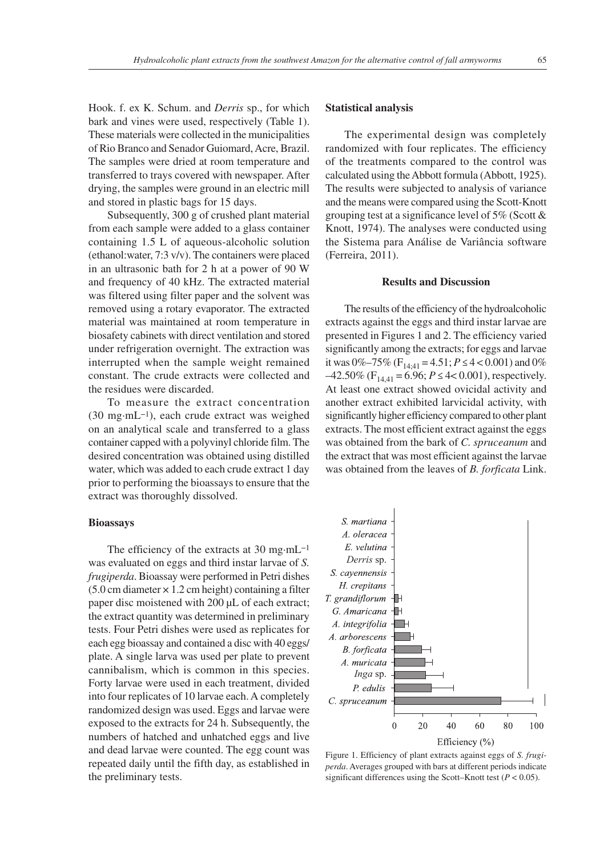Hook. f. ex K. Schum. and *Derris* sp., for which bark and vines were used, respectively (Table 1). These materials were collected in the municipalities of Rio Branco and Senador Guiomard, Acre, Brazil. The samples were dried at room temperature and transferred to trays covered with newspaper. After drying, the samples were ground in an electric mill and stored in plastic bags for 15 days.

Subsequently, 300 g of crushed plant material from each sample were added to a glass container containing 1.5 L of aqueous-alcoholic solution (ethanol:water, 7:3 v/v). The containers were placed in an ultrasonic bath for 2 h at a power of 90 W and frequency of 40 kHz. The extracted material was filtered using filter paper and the solvent was removed using a rotary evaporator. The extracted material was maintained at room temperature in biosafety cabinets with direct ventilation and stored under refrigeration overnight. The extraction was interrupted when the sample weight remained constant. The crude extracts were collected and the residues were discarded.

To measure the extract concentration (30 mg·mL−1), each crude extract was weighed on an analytical scale and transferred to a glass container capped with a polyvinyl chloride film. The desired concentration was obtained using distilled water, which was added to each crude extract 1 day prior to performing the bioassays to ensure that the extract was thoroughly dissolved.

# **Bioassays**

The efficiency of the extracts at 30 mg·mL−1 was evaluated on eggs and third instar larvae of *S. frugiperda*. Bioassay were performed in Petri dishes  $(5.0 \text{ cm diameter} \times 1.2 \text{ cm height})$  containing a filter paper disc moistened with 200 µL of each extract; the extract quantity was determined in preliminary tests. Four Petri dishes were used as replicates for each egg bioassay and contained a disc with 40 eggs/ plate. A single larva was used per plate to prevent cannibalism, which is common in this species. Forty larvae were used in each treatment, divided into four replicates of 10 larvae each. A completely randomized design was used. Eggs and larvae were exposed to the extracts for 24 h. Subsequently, the numbers of hatched and unhatched eggs and live and dead larvae were counted. The egg count was repeated daily until the fifth day, as established in the preliminary tests.

# **Statistical analysis**

The experimental design was completely randomized with four replicates. The efficiency of the treatments compared to the control was calculated using the Abbott formula (Abbott, 1925). The results were subjected to analysis of variance and the means were compared using the Scott-Knott grouping test at a significance level of 5% (Scott & Knott, 1974). The analyses were conducted using the Sistema para Análise de Variância software (Ferreira, 2011).

#### **Results and Discussion**

The results of the efficiency of the hydroalcoholic extracts against the eggs and third instar larvae are presented in Figures 1 and 2. The efficiency varied significantly among the extracts; for eggs and larvae it was  $0\% -75\%$  (F<sub>14:41</sub> = 4.51;  $P \le 4 < 0.001$ ) and 0%  $-42.50\%$  (F<sub>14,41</sub> = 6.96;  $P \leq 4 < 0.001$ ), respectively. At least one extract showed ovicidal activity and another extract exhibited larvicidal activity, with significantly higher efficiency compared to other plant extracts. The most efficient extract against the eggs was obtained from the bark of *C. spruceanum* and the extract that was most efficient against the larvae was obtained from the leaves of *B. forficata* Link.



Figure 1. Efficiency of plant extracts against eggs of *S. frugiperda*. Averages grouped with bars at different periods indicate significant differences using the Scott–Knott test  $(P < 0.05)$ .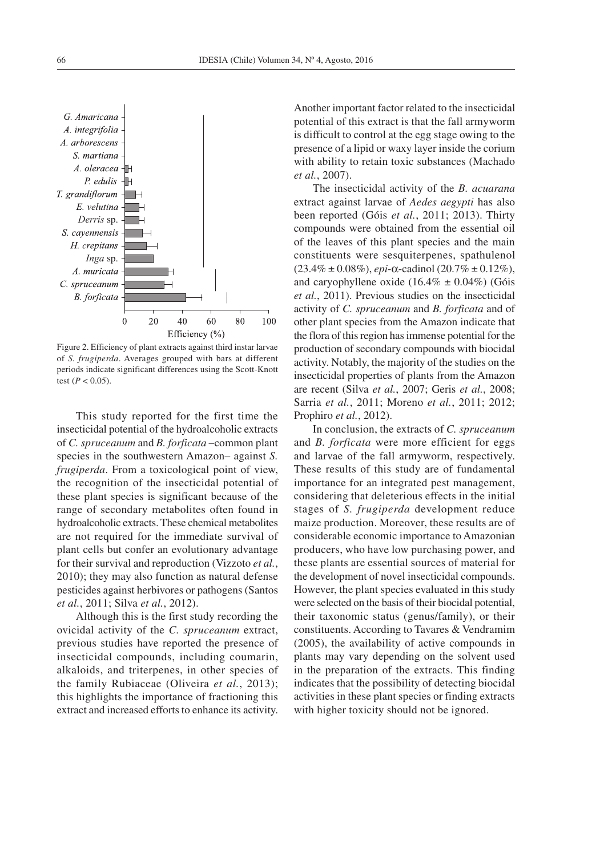

Figure 2. Efficiency of plant extracts against third instar larvae of *S. frugiperda*. Averages grouped with bars at different periods indicate significant differences using the Scott-Knott test ( $P < 0.05$ ).

This study reported for the first time the insecticidal potential of the hydroalcoholic extracts of *C. spruceanum* and *B. forficata* –common plant species in the southwestern Amazon– against *S. frugiperda*. From a toxicological point of view, the recognition of the insecticidal potential of these plant species is significant because of the range of secondary metabolites often found in hydroalcoholic extracts. These chemical metabolites are not required for the immediate survival of plant cells but confer an evolutionary advantage for their survival and reproduction (Vizzoto *et al.*, 2010); they may also function as natural defense pesticides against herbivores or pathogens (Santos *et al.*, 2011; Silva *et al.*, 2012).

Although this is the first study recording the ovicidal activity of the *C. spruceanum* extract, previous studies have reported the presence of insecticidal compounds, including coumarin, alkaloids, and triterpenes, in other species of the family Rubiaceae (Oliveira *et al.*, 2013); this highlights the importance of fractioning this extract and increased efforts to enhance its activity. Another important factor related to the insecticidal potential of this extract is that the fall armyworm is difficult to control at the egg stage owing to the presence of a lipid or waxy layer inside the corium with ability to retain toxic substances (Machado *et al.*, 2007).

The insecticidal activity of the *B. acuarana* extract against larvae of *Aedes aegypti* has also been reported (Góis *et al.*, 2011; 2013). Thirty compounds were obtained from the essential oil of the leaves of this plant species and the main constituents were sesquiterpenes, spathulenol (23.4% ± 0.08%), *epi*-α-cadinol (20.7% ± 0.12%), and caryophyllene oxide  $(16.4\% \pm 0.04\%)$  (Góis *et al.*, 2011). Previous studies on the insecticidal activity of *C. spruceanum* and *B. forficata* and of other plant species from the Amazon indicate that the flora of this region has immense potential for the production of secondary compounds with biocidal activity. Notably, the majority of the studies on the insecticidal properties of plants from the Amazon are recent (Silva *et al.*, 2007; Geris *et al.*, 2008; Sarria *et al.*, 2011; Moreno *et al.*, 2011; 2012; Prophiro *et al.*, 2012).

In conclusion, the extracts of *C. spruceanum* and *B. forficata* were more efficient for eggs and larvae of the fall armyworm, respectively. These results of this study are of fundamental importance for an integrated pest management, considering that deleterious effects in the initial stages of *S. frugiperda* development reduce maize production. Moreover, these results are of considerable economic importance to Amazonian producers, who have low purchasing power, and these plants are essential sources of material for the development of novel insecticidal compounds. However, the plant species evaluated in this study were selected on the basis of their biocidal potential, their taxonomic status (genus/family), or their constituents. According to Tavares & Vendramim (2005), the availability of active compounds in plants may vary depending on the solvent used in the preparation of the extracts. This finding indicates that the possibility of detecting biocidal activities in these plant species or finding extracts with higher toxicity should not be ignored.